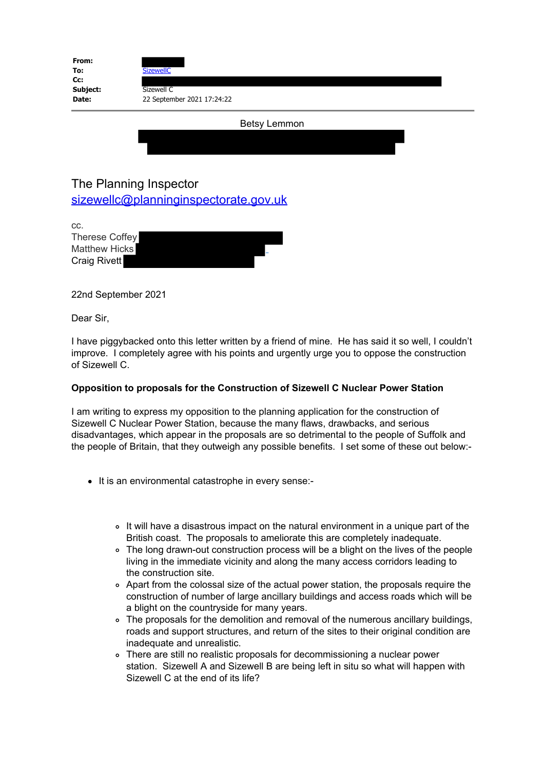| From:<br>To: | <b>SizewellC</b>           |  |
|--------------|----------------------------|--|
| Cc:          |                            |  |
| Subject:     | Sizewell C                 |  |
| Date:        | 22 September 2021 17:24:22 |  |
|              | <b>Betsy Lemmon</b>        |  |

## The Planning Inspector

[sizewellc@planninginspectorate.gov.uk](mailto:sizewellc@planninginspectorate.gov.uk)

cc.

Therese Coffey Matthew Hicks Craig Rivett

22nd September 2021

Dear Sir,

I have piggybacked onto this letter written by a friend of mine. He has said it so well, I couldn't improve. I completely agree with his points and urgently urge you to oppose the construction of Sizewell C.

## **Opposition to proposals for the Construction of Sizewell C Nuclear Power Station**

I am writing to express my opposition to the planning application for the construction of Sizewell C Nuclear Power Station, because the many flaws, drawbacks, and serious disadvantages, which appear in the proposals are so detrimental to the people of Suffolk and the people of Britain, that they outweigh any possible benefits. I set some of these out below:-

- It is an environmental catastrophe in every sense:-
	- It will have a disastrous impact on the natural environment in a unique part of the British coast. The proposals to ameliorate this are completely inadequate.
	- The long drawn-out construction process will be a blight on the lives of the people living in the immediate vicinity and along the many access corridors leading to the construction site.
	- Apart from the colossal size of the actual power station, the proposals require the construction of number of large ancillary buildings and access roads which will be a blight on the countryside for many years.
	- The proposals for the demolition and removal of the numerous ancillary buildings, roads and support structures, and return of the sites to their original condition are inadequate and unrealistic.
	- There are still no realistic proposals for decommissioning a nuclear power station. Sizewell A and Sizewell B are being left in situ so what will happen with Sizewell C at the end of its life?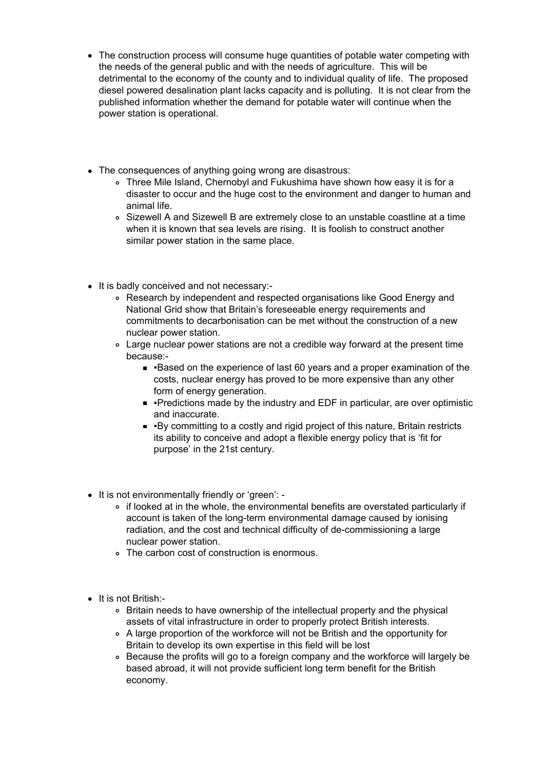- The construction process will consume huge quantities of potable water competing with the needs of the general public and with the needs of agriculture. This will be detrimental to the economy of the county and to individual quality of life. The proposed diesel powered desalination plant lacks capacity and is polluting. It is not clear from the published information whether the demand for potable water will continue when the power station is operational.
- The consequences of anything going wrong are disastrous:
	- Three Mile Island, Chernobyl and Fukushima have shown how easy it is for a disaster to occur and the huge cost to the environment and danger to human and animal life.
	- Sizewell A and Sizewell B are extremely close to an unstable coastline at a time when it is known that sea levels are rising. It is foolish to construct another similar power station in the same place.
- It is badly conceived and not necessary:-
	- Research by independent and respected organisations like Good Energy and National Grid show that Britain's foreseeable energy requirements and commitments to decarbonisation can be met without the construction of a new nuclear power station.
	- Large nuclear power stations are not a credible way forward at the present time because:-
		- Based on the experience of last 60 years and a proper examination of the costs, nuclear energy has proved to be more expensive than any other form of energy generation.
		- Predictions made by the industry and EDF in particular, are over optimistic and inaccurate.
		- By committing to a costly and rigid project of this nature, Britain restricts its ability to conceive and adopt a flexible energy policy that is 'fit for purpose' in the 21st century.
- It is not environmentally friendly or 'green':
	- if looked at in the whole, the environmental benefits are overstated particularly if account is taken of the long-term environmental damage caused by ionising radiation, and the cost and technical difficulty of de-commissioning a large nuclear power station.
	- The carbon cost of construction is enormous.
- It is not British:-
	- Britain needs to have ownership of the intellectual property and the physical assets of vital infrastructure in order to properly protect British interests.
	- A large proportion of the workforce will not be British and the opportunity for Britain to develop its own expertise in this field will be lost
	- Because the profits will go to a foreign company and the workforce will largely be based abroad, it will not provide sufficient long term benefit for the British economy.